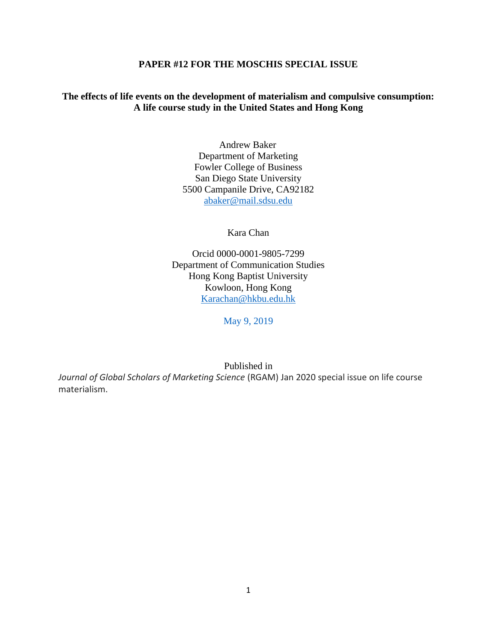# **PAPER #12 FOR THE MOSCHIS SPECIAL ISSUE**

# **The effects of life events on the development of materialism and compulsive consumption: A life course study in the United States and Hong Kong**

Andrew Baker Department of Marketing Fowler College of Business San Diego State University 5500 Campanile Drive, CA92182 [abaker@mail.sdsu.edu](mailto:abaker@mail.sdsu.edu)

Kara Chan

Orcid 0000-0001-9805-7299 Department of Communication Studies Hong Kong Baptist University Kowloon, Hong Kong [Karachan@hkbu.edu.hk](mailto:Karachan@hkbu.edu.hk)

May 9, 2019

Published in

*Journal of Global Scholars of Marketing Science* (RGAM) Jan 2020 special issue on life course materialism.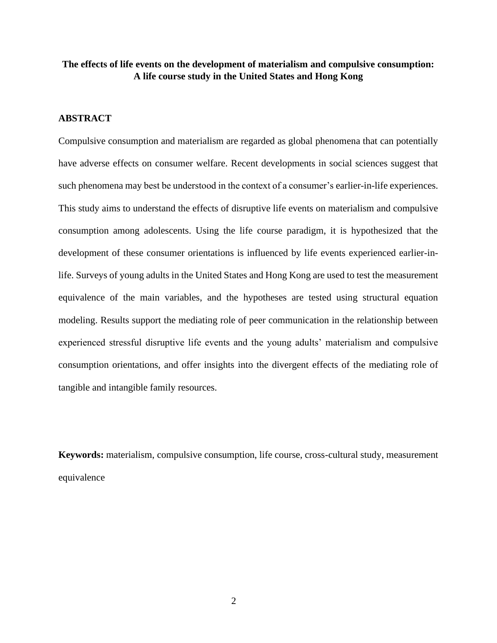# **The effects of life events on the development of materialism and compulsive consumption: A life course study in the United States and Hong Kong**

# **ABSTRACT**

Compulsive consumption and materialism are regarded as global phenomena that can potentially have adverse effects on consumer welfare. Recent developments in social sciences suggest that such phenomena may best be understood in the context of a consumer's earlier-in-life experiences. This study aims to understand the effects of disruptive life events on materialism and compulsive consumption among adolescents. Using the life course paradigm, it is hypothesized that the development of these consumer orientations is influenced by life events experienced earlier-inlife. Surveys of young adults in the United States and Hong Kong are used to test the measurement equivalence of the main variables, and the hypotheses are tested using structural equation modeling. Results support the mediating role of peer communication in the relationship between experienced stressful disruptive life events and the young adults' materialism and compulsive consumption orientations, and offer insights into the divergent effects of the mediating role of tangible and intangible family resources.

**Keywords:** materialism, compulsive consumption, life course, cross-cultural study, measurement equivalence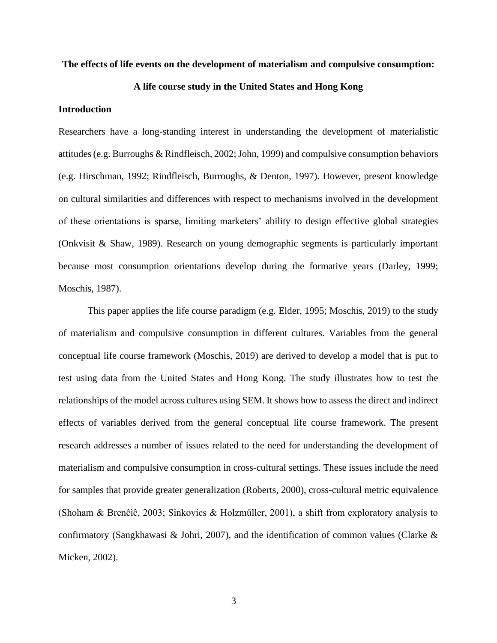### **The effects of life events on the development of materialism and compulsive consumption:**

# **A life course study in the United States and Hong Kong**

# **Introduction**

Researchers have a long-standing interest in understanding the development of materialistic attitudes (e.g. Burroughs & Rindfleisch, 2002; John, 1999) and compulsive consumption behaviors (e.g. Hirschman, 1992; Rindfleisch, Burroughs, & Denton, 1997). However, present knowledge on cultural similarities and differences with respect to mechanisms involved in the development of these orientations is sparse, limiting marketers' ability to design effective global strategies (Onkvisit & Shaw, 1989). Research on young demographic segments is particularly important because most consumption orientations develop during the formative years (Darley, 1999; Moschis, 1987).

This paper applies the life course paradigm (e.g. Elder, 1995; Moschis, 2019) to the study of materialism and compulsive consumption in different cultures. Variables from the general conceptual life course framework (Moschis, 2019) are derived to develop a model that is put to test using data from the United States and Hong Kong. The study illustrates how to test the relationships of the model across cultures using SEM. It shows how to assess the direct and indirect effects of variables derived from the general conceptual life course framework. The present research addresses a number of issues related to the need for understanding the development of materialism and compulsive consumption in cross-cultural settings. These issues include the need for samples that provide greater generalization (Roberts, 2000), cross-cultural metric equivalence (Shoham & Brenĉìĉ, 2003; Sinkovics & Holzmüller, 2001), a shift from exploratory analysis to confirmatory (Sangkhawasi & Johri, 2007), and the identification of common values (Clarke & Micken, 2002).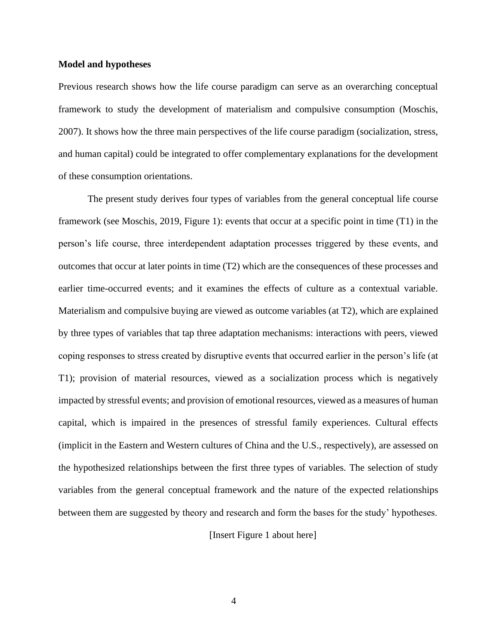#### **Model and hypotheses**

Previous research shows how the life course paradigm can serve as an overarching conceptual framework to study the development of materialism and compulsive consumption (Moschis, 2007). It shows how the three main perspectives of the life course paradigm (socialization, stress, and human capital) could be integrated to offer complementary explanations for the development of these consumption orientations.

The present study derives four types of variables from the general conceptual life course framework (see Moschis, 2019, Figure 1): events that occur at a specific point in time (T1) in the person's life course, three interdependent adaptation processes triggered by these events, and outcomes that occur at later points in time (T2) which are the consequences of these processes and earlier time-occurred events; and it examines the effects of culture as a contextual variable. Materialism and compulsive buying are viewed as outcome variables (at T2), which are explained by three types of variables that tap three adaptation mechanisms: interactions with peers, viewed coping responses to stress created by disruptive events that occurred earlier in the person's life (at T1); provision of material resources, viewed as a socialization process which is negatively impacted by stressful events; and provision of emotional resources, viewed as a measures of human capital, which is impaired in the presences of stressful family experiences. Cultural effects (implicit in the Eastern and Western cultures of China and the U.S., respectively), are assessed on the hypothesized relationships between the first three types of variables. The selection of study variables from the general conceptual framework and the nature of the expected relationships between them are suggested by theory and research and form the bases for the study' hypotheses.

[Insert Figure 1 about here]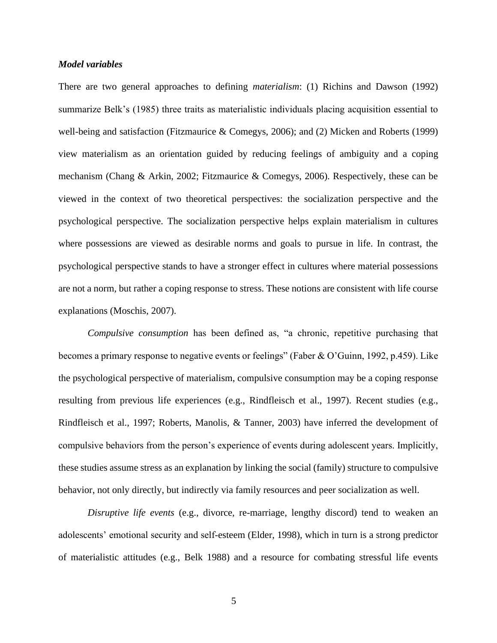# *Model variables*

There are two general approaches to defining *materialism*: (1) Richins and Dawson (1992) summarize Belk's (1985) three traits as materialistic individuals placing acquisition essential to well-being and satisfaction (Fitzmaurice & Comegys, 2006); and (2) Micken and Roberts (1999) view materialism as an orientation guided by reducing feelings of ambiguity and a coping mechanism (Chang & Arkin, 2002; Fitzmaurice & Comegys, 2006). Respectively, these can be viewed in the context of two theoretical perspectives: the socialization perspective and the psychological perspective. The socialization perspective helps explain materialism in cultures where possessions are viewed as desirable norms and goals to pursue in life. In contrast, the psychological perspective stands to have a stronger effect in cultures where material possessions are not a norm, but rather a coping response to stress. These notions are consistent with life course explanations (Moschis, 2007).

*Compulsive consumption* has been defined as, "a chronic, repetitive purchasing that becomes a primary response to negative events or feelings" (Faber & O'Guinn, 1992, p.459). Like the psychological perspective of materialism, compulsive consumption may be a coping response resulting from previous life experiences (e.g., Rindfleisch et al., 1997). Recent studies (e.g., Rindfleisch et al., 1997; Roberts, Manolis, & Tanner, 2003) have inferred the development of compulsive behaviors from the person's experience of events during adolescent years. Implicitly, these studies assume stress as an explanation by linking the social (family) structure to compulsive behavior, not only directly, but indirectly via family resources and peer socialization as well.

*Disruptive life events* (e.g., divorce, re-marriage, lengthy discord) tend to weaken an adolescents' emotional security and self-esteem (Elder, 1998), which in turn is a strong predictor of materialistic attitudes (e.g., Belk 1988) and a resource for combating stressful life events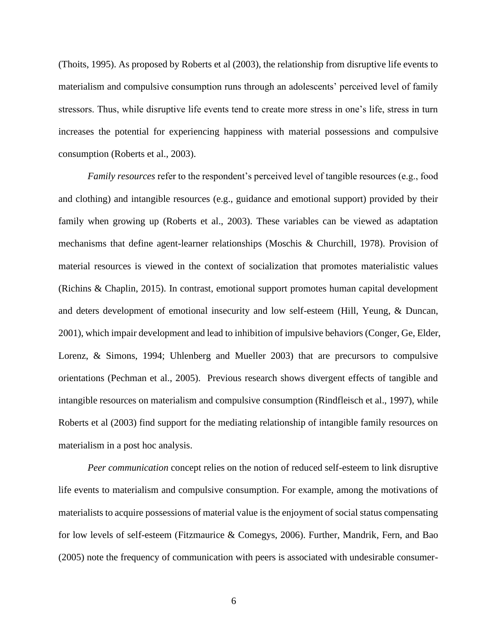(Thoits, 1995). As proposed by Roberts et al (2003), the relationship from disruptive life events to materialism and compulsive consumption runs through an adolescents' perceived level of family stressors. Thus, while disruptive life events tend to create more stress in one's life, stress in turn increases the potential for experiencing happiness with material possessions and compulsive consumption (Roberts et al., 2003).

*Family resources* refer to the respondent's perceived level of tangible resources (e.g., food and clothing) and intangible resources (e.g., guidance and emotional support) provided by their family when growing up (Roberts et al., 2003). These variables can be viewed as adaptation mechanisms that define agent-learner relationships (Moschis & Churchill, 1978). Provision of material resources is viewed in the context of socialization that promotes materialistic values (Richins & Chaplin, 2015). In contrast, emotional support promotes human capital development and deters development of emotional insecurity and low self-esteem (Hill, Yeung, & Duncan, 2001), which impair development and lead to inhibition of impulsive behaviors (Conger, Ge, Elder, Lorenz, & Simons, 1994; Uhlenberg and Mueller 2003) that are precursors to compulsive orientations (Pechman et al., 2005). Previous research shows divergent effects of tangible and intangible resources on materialism and compulsive consumption (Rindfleisch et al., 1997), while Roberts et al (2003) find support for the mediating relationship of intangible family resources on materialism in a post hoc analysis.

*Peer communication* concept relies on the notion of reduced self-esteem to link disruptive life events to materialism and compulsive consumption. For example, among the motivations of materialists to acquire possessions of material value is the enjoyment of social status compensating for low levels of self-esteem (Fitzmaurice & Comegys, 2006). Further, Mandrik, Fern, and Bao (2005) note the frequency of communication with peers is associated with undesirable consumer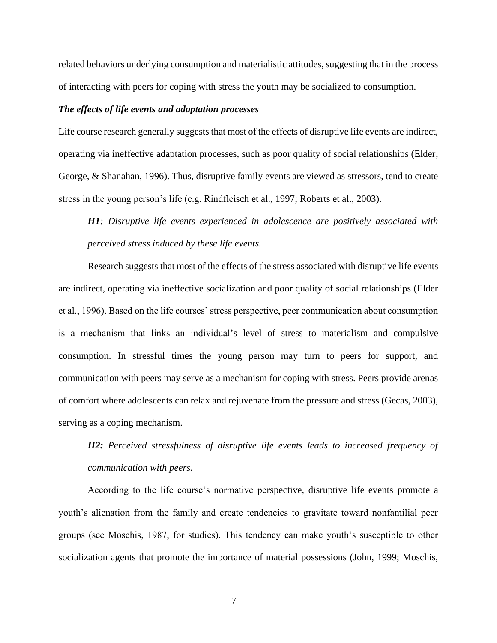related behaviors underlying consumption and materialistic attitudes, suggesting that in the process of interacting with peers for coping with stress the youth may be socialized to consumption.

# *The effects of life events and adaptation processes*

Life course research generally suggests that most of the effects of disruptive life events are indirect, operating via ineffective adaptation processes, such as poor quality of social relationships (Elder, George, & Shanahan, 1996). Thus, disruptive family events are viewed as stressors, tend to create stress in the young person's life (e.g. Rindfleisch et al., 1997; Roberts et al., 2003).

*H1: Disruptive life events experienced in adolescence are positively associated with perceived stress induced by these life events.*

Research suggests that most of the effects of the stress associated with disruptive life events are indirect, operating via ineffective socialization and poor quality of social relationships (Elder et al., 1996). Based on the life courses' stress perspective, peer communication about consumption is a mechanism that links an individual's level of stress to materialism and compulsive consumption. In stressful times the young person may turn to peers for support, and communication with peers may serve as a mechanism for coping with stress. Peers provide arenas of comfort where adolescents can relax and rejuvenate from the pressure and stress (Gecas, 2003), serving as a coping mechanism.

*H2: Perceived stressfulness of disruptive life events leads to increased frequency of communication with peers.*

According to the life course's normative perspective, disruptive life events promote a youth's alienation from the family and create tendencies to gravitate toward nonfamilial peer groups (see Moschis, 1987, for studies). This tendency can make youth's susceptible to other socialization agents that promote the importance of material possessions (John, 1999; Moschis,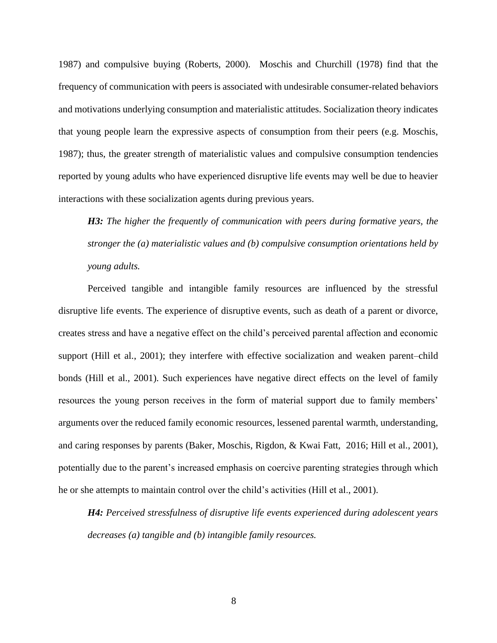1987) and compulsive buying (Roberts, 2000). Moschis and Churchill (1978) find that the frequency of communication with peers is associated with undesirable consumer-related behaviors and motivations underlying consumption and materialistic attitudes. Socialization theory indicates that young people learn the expressive aspects of consumption from their peers (e.g. Moschis, 1987); thus, the greater strength of materialistic values and compulsive consumption tendencies reported by young adults who have experienced disruptive life events may well be due to heavier interactions with these socialization agents during previous years.

*H3: The higher the frequently of communication with peers during formative years, the stronger the (a) materialistic values and (b) compulsive consumption orientations held by young adults.*

Perceived tangible and intangible family resources are influenced by the stressful disruptive life events. The experience of disruptive events, such as death of a parent or divorce, creates stress and have a negative effect on the child's perceived parental affection and economic support (Hill et al., 2001); they interfere with effective socialization and weaken parent–child bonds (Hill et al., 2001). Such experiences have negative direct effects on the level of family resources the young person receives in the form of material support due to family members' arguments over the reduced family economic resources, lessened parental warmth, understanding, and caring responses by parents (Baker, Moschis, Rigdon, & Kwai Fatt, 2016; Hill et al., 2001), potentially due to the parent's increased emphasis on coercive parenting strategies through which he or she attempts to maintain control over the child's activities (Hill et al., 2001).

*H4: Perceived stressfulness of disruptive life events experienced during adolescent years decreases (a) tangible and (b) intangible family resources.*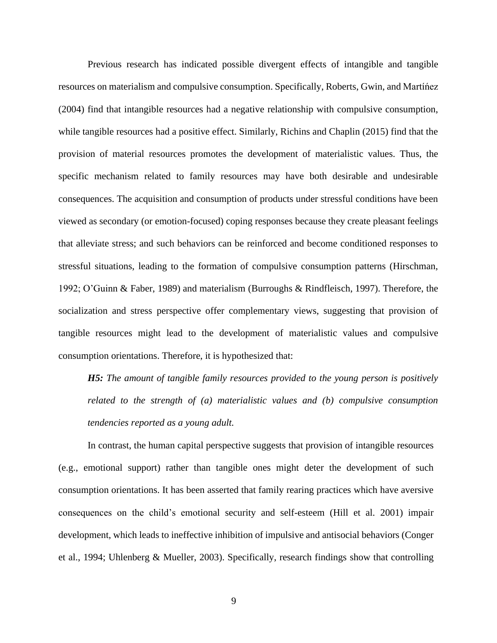Previous research has indicated possible divergent effects of intangible and tangible resources on materialism and compulsive consumption. Specifically, Roberts, Gwin, and Martíńez (2004) find that intangible resources had a negative relationship with compulsive consumption, while tangible resources had a positive effect. Similarly, Richins and Chaplin (2015) find that the provision of material resources promotes the development of materialistic values. Thus, the specific mechanism related to family resources may have both desirable and undesirable consequences. The acquisition and consumption of products under stressful conditions have been viewed as secondary (or emotion-focused) coping responses because they create pleasant feelings that alleviate stress; and such behaviors can be reinforced and become conditioned responses to stressful situations, leading to the formation of compulsive consumption patterns (Hirschman, 1992; O'Guinn & Faber, 1989) and materialism (Burroughs & Rindfleisch, 1997). Therefore, the socialization and stress perspective offer complementary views, suggesting that provision of tangible resources might lead to the development of materialistic values and compulsive consumption orientations. Therefore, it is hypothesized that:

*H5: The amount of tangible family resources provided to the young person is positively related to the strength of (a) materialistic values and (b) compulsive consumption tendencies reported as a young adult.*

In contrast, the human capital perspective suggests that provision of intangible resources (e.g., emotional support) rather than tangible ones might deter the development of such consumption orientations. It has been asserted that family rearing practices which have aversive consequences on the child's emotional security and self-esteem (Hill et al. 2001) impair development, which leads to ineffective inhibition of impulsive and antisocial behaviors (Conger et al., 1994; Uhlenberg & Mueller, 2003). Specifically, research findings show that controlling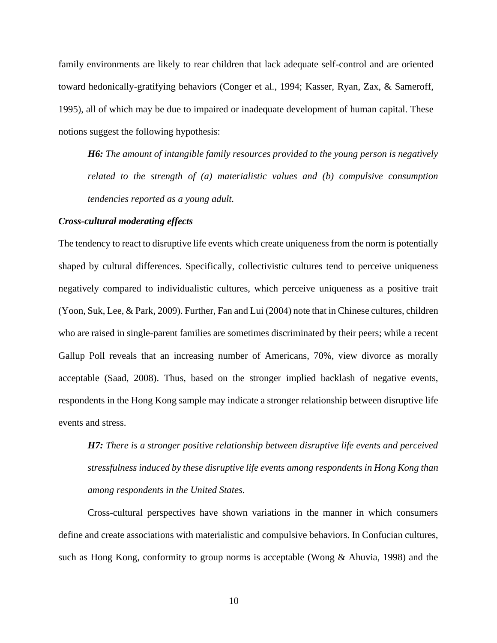family environments are likely to rear children that lack adequate self-control and are oriented toward hedonically-gratifying behaviors (Conger et al., 1994; Kasser, Ryan, Zax, & Sameroff, 1995), all of which may be due to impaired or inadequate development of human capital. These notions suggest the following hypothesis:

*H6: The amount of intangible family resources provided to the young person is negatively related to the strength of (a) materialistic values and (b) compulsive consumption tendencies reported as a young adult.*

# *Cross-cultural moderating effects*

The tendency to react to disruptive life events which create uniqueness from the norm is potentially shaped by cultural differences. Specifically, collectivistic cultures tend to perceive uniqueness negatively compared to individualistic cultures, which perceive uniqueness as a positive trait (Yoon, Suk, Lee, & Park, 2009). Further, Fan and Lui (2004) note that in Chinese cultures, children who are raised in single-parent families are sometimes discriminated by their peers; while a recent Gallup Poll reveals that an increasing number of Americans, 70%, view divorce as morally acceptable (Saad, 2008). Thus, based on the stronger implied backlash of negative events, respondents in the Hong Kong sample may indicate a stronger relationship between disruptive life events and stress.

*H7: There is a stronger positive relationship between disruptive life events and perceived stressfulness induced by these disruptive life events among respondents in Hong Kong than among respondents in the United States.*

Cross-cultural perspectives have shown variations in the manner in which consumers define and create associations with materialistic and compulsive behaviors. In Confucian cultures, such as Hong Kong, conformity to group norms is acceptable (Wong & Ahuvia, 1998) and the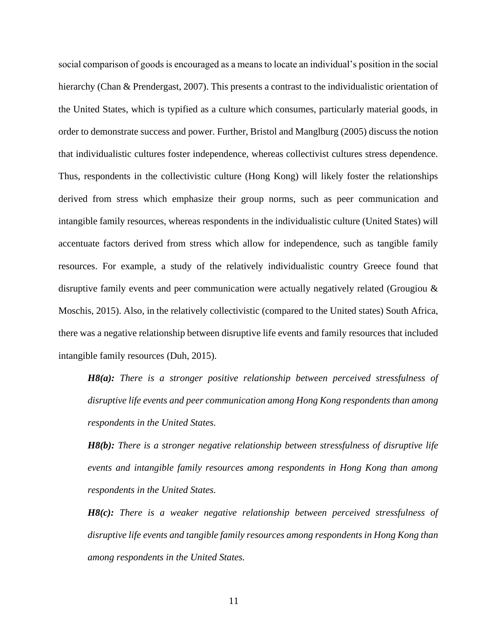social comparison of goods is encouraged as a means to locate an individual's position in the social hierarchy (Chan & Prendergast, 2007). This presents a contrast to the individualistic orientation of the United States, which is typified as a culture which consumes, particularly material goods, in order to demonstrate success and power. Further, Bristol and Manglburg (2005) discuss the notion that individualistic cultures foster independence, whereas collectivist cultures stress dependence. Thus, respondents in the collectivistic culture (Hong Kong) will likely foster the relationships derived from stress which emphasize their group norms, such as peer communication and intangible family resources, whereas respondents in the individualistic culture (United States) will accentuate factors derived from stress which allow for independence, such as tangible family resources. For example, a study of the relatively individualistic country Greece found that disruptive family events and peer communication were actually negatively related (Grougiou & Moschis, 2015). Also, in the relatively collectivistic (compared to the United states) South Africa, there was a negative relationship between disruptive life events and family resources that included intangible family resources (Duh, 2015).

*H8(a): There is a stronger positive relationship between perceived stressfulness of disruptive life events and peer communication among Hong Kong respondents than among respondents in the United States.*

*H8(b): There is a stronger negative relationship between stressfulness of disruptive life events and intangible family resources among respondents in Hong Kong than among respondents in the United States.*

*H8(c): There is a weaker negative relationship between perceived stressfulness of disruptive life events and tangible family resources among respondents in Hong Kong than among respondents in the United States.*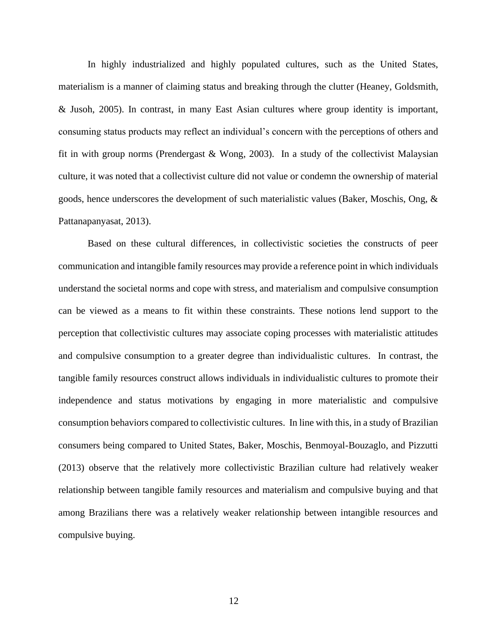In highly industrialized and highly populated cultures, such as the United States, materialism is a manner of claiming status and breaking through the clutter (Heaney, Goldsmith, & Jusoh, 2005). In contrast, in many East Asian cultures where group identity is important, consuming status products may reflect an individual's concern with the perceptions of others and fit in with group norms (Prendergast  $&$  Wong, 2003). In a study of the collectivist Malaysian culture, it was noted that a collectivist culture did not value or condemn the ownership of material goods, hence underscores the development of such materialistic values (Baker, Moschis, Ong, & Pattanapanyasat, 2013).

Based on these cultural differences, in collectivistic societies the constructs of peer communication and intangible family resources may provide a reference point in which individuals understand the societal norms and cope with stress, and materialism and compulsive consumption can be viewed as a means to fit within these constraints. These notions lend support to the perception that collectivistic cultures may associate coping processes with materialistic attitudes and compulsive consumption to a greater degree than individualistic cultures. In contrast, the tangible family resources construct allows individuals in individualistic cultures to promote their independence and status motivations by engaging in more materialistic and compulsive consumption behaviors compared to collectivistic cultures. In line with this, in a study of Brazilian consumers being compared to United States, Baker, Moschis, Benmoyal-Bouzaglo, and Pizzutti (2013) observe that the relatively more collectivistic Brazilian culture had relatively weaker relationship between tangible family resources and materialism and compulsive buying and that among Brazilians there was a relatively weaker relationship between intangible resources and compulsive buying.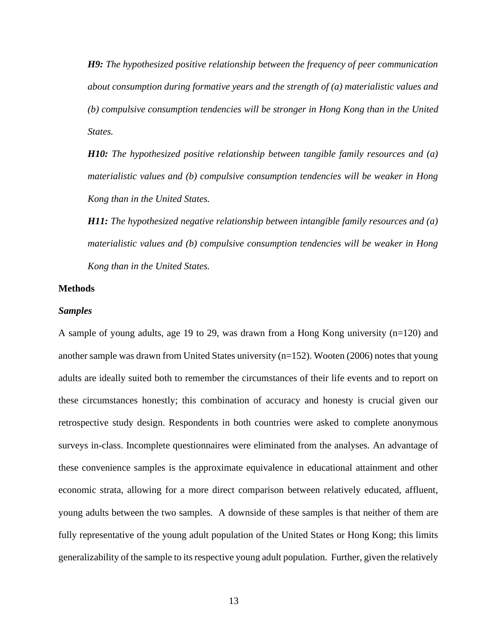*H9: The hypothesized positive relationship between the frequency of peer communication about consumption during formative years and the strength of (a) materialistic values and (b) compulsive consumption tendencies will be stronger in Hong Kong than in the United States.*

*H10: The hypothesized positive relationship between tangible family resources and (a) materialistic values and (b) compulsive consumption tendencies will be weaker in Hong Kong than in the United States.*

*H11: The hypothesized negative relationship between intangible family resources and (a) materialistic values and (b) compulsive consumption tendencies will be weaker in Hong Kong than in the United States.*

## **Methods**

#### *Samples*

A sample of young adults, age 19 to 29, was drawn from a Hong Kong university (n=120) and another sample was drawn from United States university (n=152). Wooten (2006) notes that young adults are ideally suited both to remember the circumstances of their life events and to report on these circumstances honestly; this combination of accuracy and honesty is crucial given our retrospective study design. Respondents in both countries were asked to complete anonymous surveys in-class. Incomplete questionnaires were eliminated from the analyses. An advantage of these convenience samples is the approximate equivalence in educational attainment and other economic strata, allowing for a more direct comparison between relatively educated, affluent, young adults between the two samples. A downside of these samples is that neither of them are fully representative of the young adult population of the United States or Hong Kong; this limits generalizability of the sample to its respective young adult population. Further, given the relatively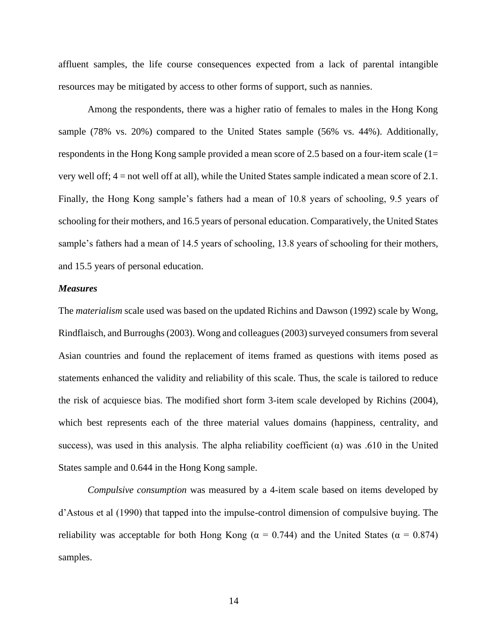affluent samples, the life course consequences expected from a lack of parental intangible resources may be mitigated by access to other forms of support, such as nannies.

Among the respondents, there was a higher ratio of females to males in the Hong Kong sample (78% vs. 20%) compared to the United States sample (56% vs. 44%). Additionally, respondents in the Hong Kong sample provided a mean score of 2.5 based on a four-item scale (1= very well off; 4 = not well off at all), while the United States sample indicated a mean score of 2.1. Finally, the Hong Kong sample's fathers had a mean of 10.8 years of schooling, 9.5 years of schooling for their mothers, and 16.5 years of personal education. Comparatively, the United States sample's fathers had a mean of 14.5 years of schooling, 13.8 years of schooling for their mothers, and 15.5 years of personal education.

#### *Measures*

The *materialism* scale used was based on the updated Richins and Dawson (1992) scale by Wong, Rindflaisch, and Burroughs (2003). Wong and colleagues (2003) surveyed consumers from several Asian countries and found the replacement of items framed as questions with items posed as statements enhanced the validity and reliability of this scale. Thus, the scale is tailored to reduce the risk of acquiesce bias. The modified short form 3-item scale developed by Richins (2004), which best represents each of the three material values domains (happiness, centrality, and success), was used in this analysis. The alpha reliability coefficient  $(\alpha)$  was .610 in the United States sample and 0.644 in the Hong Kong sample.

*Compulsive consumption* was measured by a 4-item scale based on items developed by d'Astous et al (1990) that tapped into the impulse-control dimension of compulsive buying. The reliability was acceptable for both Hong Kong ( $\alpha = 0.744$ ) and the United States ( $\alpha = 0.874$ ) samples.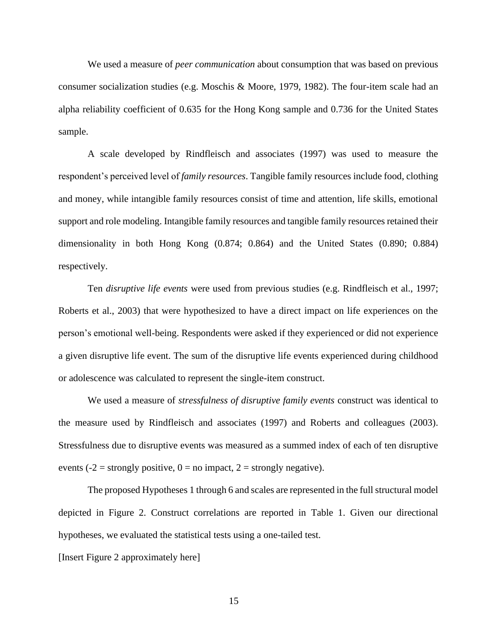We used a measure of *peer communication* about consumption that was based on previous consumer socialization studies (e.g. Moschis & Moore, 1979, 1982). The four-item scale had an alpha reliability coefficient of 0.635 for the Hong Kong sample and 0.736 for the United States sample.

A scale developed by Rindfleisch and associates (1997) was used to measure the respondent's perceived level of *family resources*. Tangible family resources include food, clothing and money, while intangible family resources consist of time and attention, life skills, emotional support and role modeling. Intangible family resources and tangible family resources retained their dimensionality in both Hong Kong (0.874; 0.864) and the United States (0.890; 0.884) respectively.

Ten *disruptive life events* were used from previous studies (e.g. Rindfleisch et al., 1997; Roberts et al., 2003) that were hypothesized to have a direct impact on life experiences on the person's emotional well-being. Respondents were asked if they experienced or did not experience a given disruptive life event. The sum of the disruptive life events experienced during childhood or adolescence was calculated to represent the single-item construct.

We used a measure of *stressfulness of disruptive family events* construct was identical to the measure used by Rindfleisch and associates (1997) and Roberts and colleagues (2003). Stressfulness due to disruptive events was measured as a summed index of each of ten disruptive events (-2 = strongly positive,  $0 =$  no impact, 2 = strongly negative).

The proposed Hypotheses 1 through 6 and scales are represented in the full structural model depicted in Figure 2. Construct correlations are reported in Table 1. Given our directional hypotheses, we evaluated the statistical tests using a one-tailed test.

[Insert Figure 2 approximately here]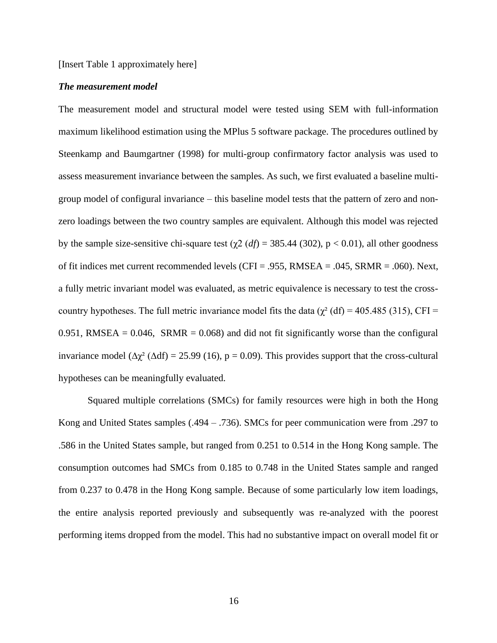[Insert Table 1 approximately here]

# *The measurement model*

The measurement model and structural model were tested using SEM with full-information maximum likelihood estimation using the MPlus 5 software package. The procedures outlined by Steenkamp and Baumgartner (1998) for multi-group confirmatory factor analysis was used to assess measurement invariance between the samples. As such, we first evaluated a baseline multigroup model of configural invariance – this baseline model tests that the pattern of zero and nonzero loadings between the two country samples are equivalent. Although this model was rejected by the sample size-sensitive chi-square test ( $\chi$ 2 (*df*) = 385.44 (302), p < 0.01), all other goodness of fit indices met current recommended levels (CFI = .955, RMSEA = .045, SRMR = .060). Next, a fully metric invariant model was evaluated, as metric equivalence is necessary to test the crosscountry hypotheses. The full metric invariance model fits the data ( $\chi^2$  (df) = 405.485 (315), CFI =  $0.951$ , RMSEA =  $0.046$ , SRMR =  $0.068$ ) and did not fit significantly worse than the configural invariance model ( $\Delta \chi^2$  ( $\Delta df$ ) = 25.99 (16), p = 0.09). This provides support that the cross-cultural hypotheses can be meaningfully evaluated.

Squared multiple correlations (SMCs) for family resources were high in both the Hong Kong and United States samples (.494 – .736). SMCs for peer communication were from .297 to .586 in the United States sample, but ranged from 0.251 to 0.514 in the Hong Kong sample. The consumption outcomes had SMCs from 0.185 to 0.748 in the United States sample and ranged from 0.237 to 0.478 in the Hong Kong sample. Because of some particularly low item loadings, the entire analysis reported previously and subsequently was re-analyzed with the poorest performing items dropped from the model. This had no substantive impact on overall model fit or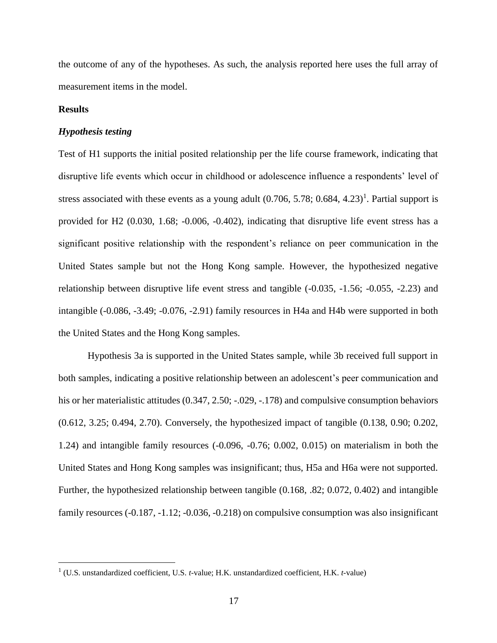the outcome of any of the hypotheses. As such, the analysis reported here uses the full array of measurement items in the model.

## **Results**

#### *Hypothesis testing*

Test of H1 supports the initial posited relationship per the life course framework, indicating that disruptive life events which occur in childhood or adolescence influence a respondents' level of stress associated with these events as a young adult  $(0.706, 5.78; 0.684, 4.23)^1$ . Partial support is provided for H2 (0.030, 1.68; -0.006, -0.402), indicating that disruptive life event stress has a significant positive relationship with the respondent's reliance on peer communication in the United States sample but not the Hong Kong sample. However, the hypothesized negative relationship between disruptive life event stress and tangible (-0.035, -1.56; -0.055, -2.23) and intangible (-0.086, -3.49; -0.076, -2.91) family resources in H4a and H4b were supported in both the United States and the Hong Kong samples.

Hypothesis 3a is supported in the United States sample, while 3b received full support in both samples, indicating a positive relationship between an adolescent's peer communication and his or her materialistic attitudes  $(0.347, 2.50; -.029, -.178)$  and compulsive consumption behaviors (0.612, 3.25; 0.494, 2.70). Conversely, the hypothesized impact of tangible (0.138, 0.90; 0.202, 1.24) and intangible family resources (-0.096, -0.76; 0.002, 0.015) on materialism in both the United States and Hong Kong samples was insignificant; thus, H5a and H6a were not supported. Further, the hypothesized relationship between tangible (0.168, .82; 0.072, 0.402) and intangible family resources (-0.187, -1.12; -0.036, -0.218) on compulsive consumption was also insignificant

<sup>1</sup> (U.S. unstandardized coefficient, U.S. *t*-value; H.K. unstandardized coefficient, H.K. *t*-value)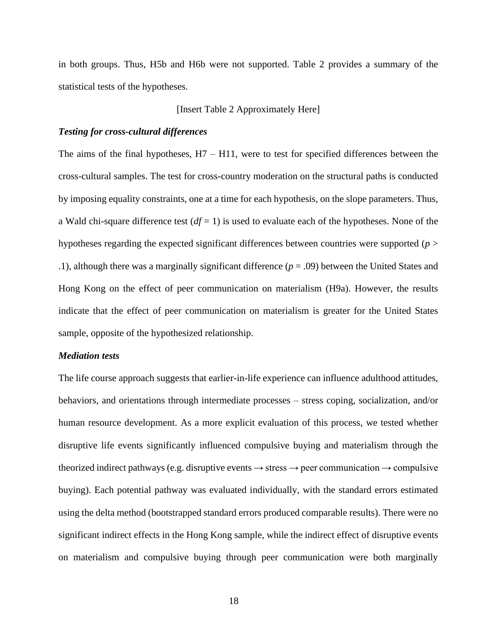in both groups. Thus, H5b and H6b were not supported. Table 2 provides a summary of the statistical tests of the hypotheses.

[Insert Table 2 Approximately Here]

# *Testing for cross-cultural differences*

The aims of the final hypotheses,  $H7 - H11$ , were to test for specified differences between the cross-cultural samples. The test for cross-country moderation on the structural paths is conducted by imposing equality constraints, one at a time for each hypothesis, on the slope parameters. Thus, a Wald chi-square difference test  $(df = 1)$  is used to evaluate each of the hypotheses. None of the hypotheses regarding the expected significant differences between countries were supported (*p* > .1), although there was a marginally significant difference (*p* = .09) between the United States and Hong Kong on the effect of peer communication on materialism (H9a). However, the results indicate that the effect of peer communication on materialism is greater for the United States sample, opposite of the hypothesized relationship.

#### *Mediation tests*

The life course approach suggests that earlier-in-life experience can influence adulthood attitudes, behaviors, and orientations through intermediate processes – stress coping, socialization, and/or human resource development. As a more explicit evaluation of this process, we tested whether disruptive life events significantly influenced compulsive buying and materialism through the theorized indirect pathways (e.g. disruptive events  $\rightarrow$  stress  $\rightarrow$  peer communication  $\rightarrow$  compulsive buying). Each potential pathway was evaluated individually, with the standard errors estimated using the delta method (bootstrapped standard errors produced comparable results). There were no significant indirect effects in the Hong Kong sample, while the indirect effect of disruptive events on materialism and compulsive buying through peer communication were both marginally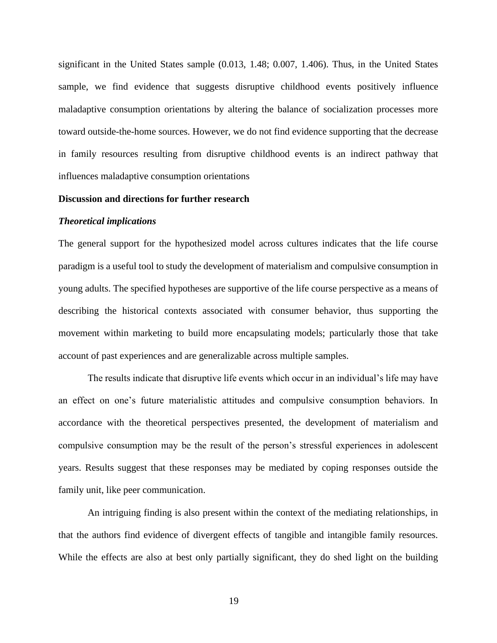significant in the United States sample (0.013, 1.48; 0.007, 1.406). Thus, in the United States sample, we find evidence that suggests disruptive childhood events positively influence maladaptive consumption orientations by altering the balance of socialization processes more toward outside-the-home sources. However, we do not find evidence supporting that the decrease in family resources resulting from disruptive childhood events is an indirect pathway that influences maladaptive consumption orientations

# **Discussion and directions for further research**

### *Theoretical implications*

The general support for the hypothesized model across cultures indicates that the life course paradigm is a useful tool to study the development of materialism and compulsive consumption in young adults. The specified hypotheses are supportive of the life course perspective as a means of describing the historical contexts associated with consumer behavior, thus supporting the movement within marketing to build more encapsulating models; particularly those that take account of past experiences and are generalizable across multiple samples.

The results indicate that disruptive life events which occur in an individual's life may have an effect on one's future materialistic attitudes and compulsive consumption behaviors. In accordance with the theoretical perspectives presented, the development of materialism and compulsive consumption may be the result of the person's stressful experiences in adolescent years. Results suggest that these responses may be mediated by coping responses outside the family unit, like peer communication.

An intriguing finding is also present within the context of the mediating relationships, in that the authors find evidence of divergent effects of tangible and intangible family resources. While the effects are also at best only partially significant, they do shed light on the building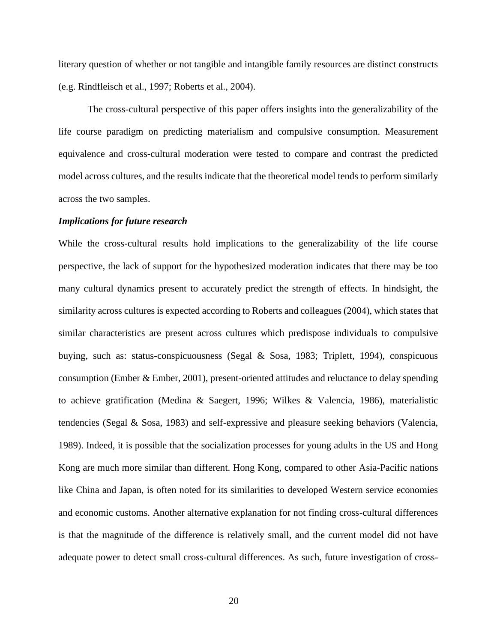literary question of whether or not tangible and intangible family resources are distinct constructs (e.g. Rindfleisch et al., 1997; Roberts et al., 2004).

The cross-cultural perspective of this paper offers insights into the generalizability of the life course paradigm on predicting materialism and compulsive consumption. Measurement equivalence and cross-cultural moderation were tested to compare and contrast the predicted model across cultures, and the results indicate that the theoretical model tends to perform similarly across the two samples.

# *Implications for future research*

While the cross-cultural results hold implications to the generalizability of the life course perspective, the lack of support for the hypothesized moderation indicates that there may be too many cultural dynamics present to accurately predict the strength of effects. In hindsight, the similarity across cultures is expected according to Roberts and colleagues (2004), which states that similar characteristics are present across cultures which predispose individuals to compulsive buying, such as: status-conspicuousness (Segal & Sosa, 1983; Triplett, 1994), conspicuous consumption (Ember & Ember, 2001), present-oriented attitudes and reluctance to delay spending to achieve gratification (Medina & Saegert, 1996; Wilkes & Valencia, 1986), materialistic tendencies (Segal & Sosa, 1983) and self-expressive and pleasure seeking behaviors (Valencia, 1989). Indeed, it is possible that the socialization processes for young adults in the US and Hong Kong are much more similar than different. Hong Kong, compared to other Asia-Pacific nations like China and Japan, is often noted for its similarities to developed Western service economies and economic customs. Another alternative explanation for not finding cross-cultural differences is that the magnitude of the difference is relatively small, and the current model did not have adequate power to detect small cross-cultural differences. As such, future investigation of cross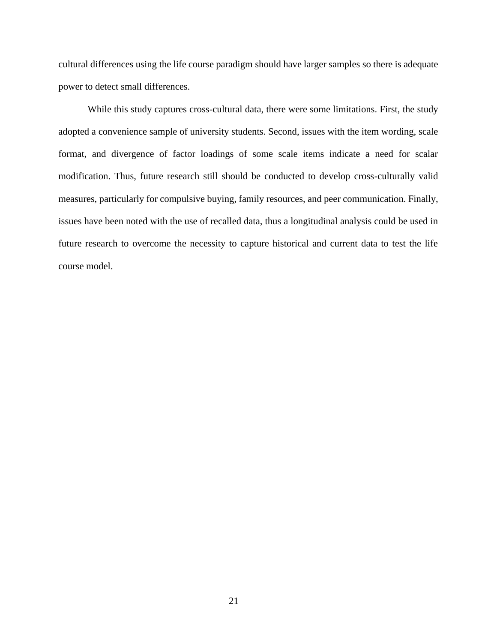cultural differences using the life course paradigm should have larger samples so there is adequate power to detect small differences.

While this study captures cross-cultural data, there were some limitations. First, the study adopted a convenience sample of university students. Second, issues with the item wording, scale format, and divergence of factor loadings of some scale items indicate a need for scalar modification. Thus, future research still should be conducted to develop cross-culturally valid measures, particularly for compulsive buying, family resources, and peer communication. Finally, issues have been noted with the use of recalled data, thus a longitudinal analysis could be used in future research to overcome the necessity to capture historical and current data to test the life course model.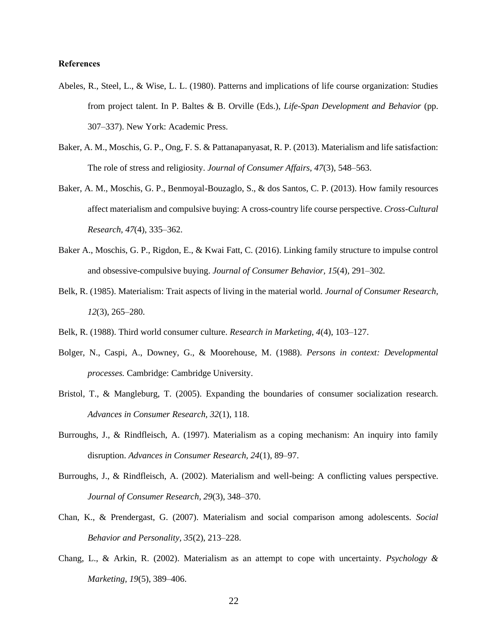#### **References**

- Abeles, R., Steel, L., & Wise, L. L. (1980). Patterns and implications of life course organization: Studies from project talent. In P. Baltes & B. Orville (Eds.), *Life-Span Development and Behavior* (pp. 307–337). New York: Academic Press.
- Baker, A. M., Moschis, G. P., Ong, F. S. & Pattanapanyasat, R. P. (2013). Materialism and life satisfaction: The role of stress and religiosity. *Journal of Consumer Affairs, 47*(3), 548–563.
- Baker, A. M., Moschis, G. P., Benmoyal-Bouzaglo, S., & dos Santos, C. P. (2013). How family resources affect materialism and compulsive buying: A cross-country life course perspective. *Cross-Cultural Research, 47*(4), 335–362.
- Baker A., Moschis, G. P., Rigdon, E., & Kwai Fatt, C. (2016). Linking family structure to impulse control and obsessive-compulsive buying. *Journal of Consumer Behavior, 15*(4), 291*–*302*.*
- Belk, R. (1985). Materialism: Trait aspects of living in the material world. *Journal of Consumer Research, 12*(3), 265–280.
- Belk, R. (1988). Third world consumer culture. *Research in Marketing, 4*(4), 103–127.
- Bolger, N., Caspi, A., Downey, G., & Moorehouse, M. (1988). *Persons in context: Developmental processes.* Cambridge: Cambridge University.
- Bristol, T., & Mangleburg, T. (2005). Expanding the boundaries of consumer socialization research. *Advances in Consumer Research, 32*(1), 118.
- Burroughs, J., & Rindfleisch, A. (1997). Materialism as a coping mechanism: An inquiry into family disruption. *Advances in Consumer Research, 24*(1), 89–97.
- Burroughs, J., & Rindfleisch, A. (2002). Materialism and well-being: A conflicting values perspective. *Journal of Consumer Research, 29*(3), 348–370.
- Chan, K., & Prendergast, G. (2007). Materialism and social comparison among adolescents. *Social Behavior and Personality, 35*(2), 213–228.
- Chang, L., & Arkin, R. (2002). Materialism as an attempt to cope with uncertainty. *Psychology & Marketing, 19*(5), 389–406.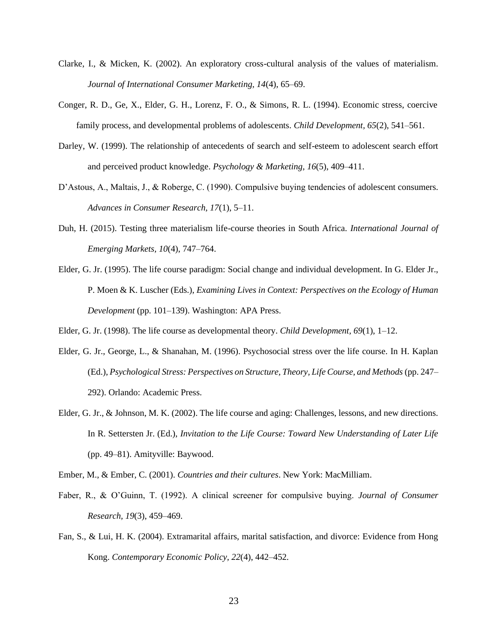- Clarke, I., & Micken, K. (2002). An exploratory cross-cultural analysis of the values of materialism. *Journal of International Consumer Marketing, 14*(4), 65–69.
- Conger, R. D., Ge, X., Elder, G. H., Lorenz, F. O., & Simons, R. L. (1994). Economic stress, coercive family process, and developmental problems of adolescents. *Child Development, 65*(2), 541–561.
- Darley, W. (1999). The relationship of antecedents of search and self-esteem to adolescent search effort and perceived product knowledge. *Psychology & Marketing, 16*(5), 409–411.
- D'Astous, A., Maltais, J., & Roberge, C. (1990). Compulsive buying tendencies of adolescent consumers. *Advances in Consumer Research, 17*(1), 5–11.
- Duh, H. (2015). Testing three materialism life-course theories in South Africa*. International Journal of Emerging Markets, 10*(4), 747–764.
- Elder, G. Jr. (1995). The life course paradigm: Social change and individual development. In G. Elder Jr., P. Moen & K. Luscher (Eds.), *Examining Lives in Context: Perspectives on the Ecology of Human Development* (pp. 101–139). Washington: APA Press.

Elder, G. Jr. (1998). The life course as developmental theory. *Child Development, 69*(1), 1–12.

- Elder, G. Jr., George, L., & Shanahan, M. (1996). Psychosocial stress over the life course. In H. Kaplan (Ed.), *Psychological Stress: Perspectives on Structure, Theory, Life Course, and Methods* (pp. 247– 292). Orlando: Academic Press.
- Elder, G. Jr., & Johnson, M. K. (2002). The life course and aging: Challenges, lessons, and new directions. In R. Settersten Jr. (Ed.), *Invitation to the Life Course: Toward New Understanding of Later Life* (pp. 49–81). Amityville: Baywood.

Ember, M., & Ember, C. (2001). *Countries and their cultures*. New York: MacMilliam.

- Faber, R., & O'Guinn, T. (1992). A clinical screener for compulsive buying. *Journal of Consumer Research, 19*(3), 459–469.
- Fan, S., & Lui, H. K. (2004). Extramarital affairs, marital satisfaction, and divorce: Evidence from Hong Kong. *Contemporary Economic Policy, 22*(4), 442–452.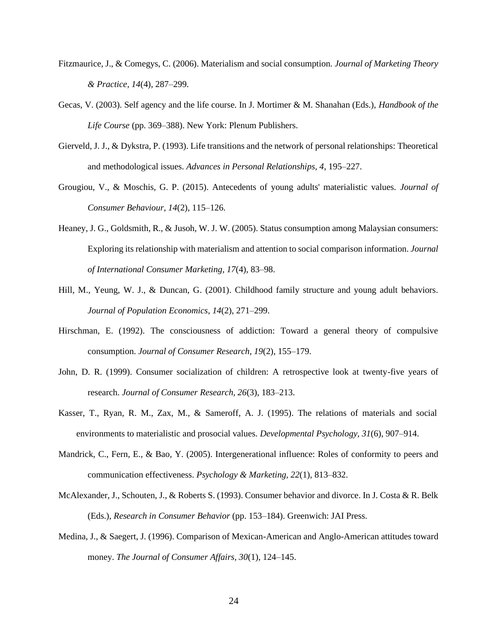- Fitzmaurice, J., & Comegys, C. (2006). Materialism and social consumption. *Journal of Marketing Theory & Practice, 14*(4), 287–299.
- Gecas, V. (2003). Self agency and the life course. In J. Mortimer & M. Shanahan (Eds.), *Handbook of the Life Course* (pp. 369–388). New York: Plenum Publishers.
- Gierveld, J. J., & Dykstra, P. (1993). Life transitions and the network of personal relationships: Theoretical and methodological issues. *Advances in Personal Relationships, 4*, 195–227.
- Grougiou, V., & Moschis, G. P. (2015). Antecedents of young adults' materialistic values. *Journal of Consumer Behaviour, 14*(2), 115–126.
- Heaney, J. G., Goldsmith, R., & Jusoh, W. J. W. (2005). Status consumption among Malaysian consumers: Exploring its relationship with materialism and attention to social comparison information. *Journal of International Consumer Marketing, 17*(4), 83–98.
- Hill, M., Yeung, W. J., & Duncan, G. (2001). Childhood family structure and young adult behaviors. *Journal of Population Economics, 14*(2), 271–299.
- Hirschman, E. (1992). The consciousness of addiction: Toward a general theory of compulsive consumption. *Journal of Consumer Research, 19*(2), 155–179.
- John, D. R. (1999). Consumer socialization of children: A retrospective look at twenty-five years of research. *Journal of Consumer Research, 26*(3), 183–213.
- Kasser, T., Ryan, R. M., Zax, M., & Sameroff, A. J. (1995). The relations of materials and social environments to materialistic and prosocial values. *Developmental Psychology, 31*(6), 907–914.
- Mandrick, C., Fern, E., & Bao, Y. (2005). Intergenerational influence: Roles of conformity to peers and communication effectiveness. *Psychology & Marketing, 22*(1), 813–832.
- McAlexander, J., Schouten, J., & Roberts S. (1993). Consumer behavior and divorce. In J. Costa & R. Belk (Eds.), *Research in Consumer Behavior* (pp. 153–184). Greenwich: JAI Press.
- Medina, J., & Saegert, J. (1996). Comparison of Mexican-American and Anglo-American attitudes toward money. *The Journal of Consumer Affairs, 30*(1), 124–145.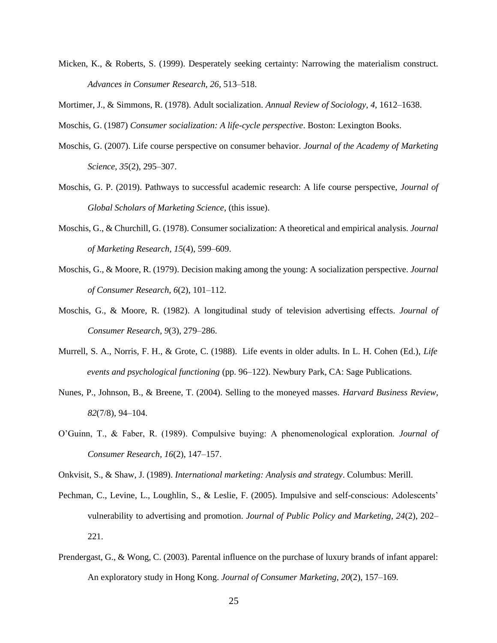Micken, K., & Roberts, S. (1999). Desperately seeking certainty: Narrowing the materialism construct. *Advances in Consumer Research, 26*, 513–518.

Mortimer, J., & Simmons, R. (1978). Adult socialization. *Annual Review of Sociology, 4*, 1612–1638.

Moschis, G. (1987) *Consumer socialization: A life-cycle perspective*. Boston: Lexington Books.

- Moschis, G. (2007). Life course perspective on consumer behavior. *Journal of the Academy of Marketing Science, 35*(2), 295–307.
- Moschis, G. P. (2019). Pathways to successful academic research: A life course perspective, *Journal of Global Scholars of Marketing Science*, (this issue).
- Moschis, G., & Churchill, G. (1978). Consumer socialization: A theoretical and empirical analysis. *Journal of Marketing Research, 15*(4), 599–609.
- Moschis, G., & Moore, R. (1979). Decision making among the young: A socialization perspective. *Journal of Consumer Research, 6*(2), 101–112.
- Moschis, G., & Moore, R. (1982). A longitudinal study of television advertising effects. *Journal of Consumer Research, 9*(3), 279–286.
- Murrell, S. A., Norris, F. H., & Grote, C. (1988). Life events in older adults. In L. H. Cohen (Ed.), *Life events and psychological functioning* (pp. 96–122). Newbury Park, CA: Sage Publications.
- Nunes, P., Johnson, B., & Breene, T. (2004). Selling to the moneyed masses. *Harvard Business Review, 82*(7/8), 94–104.
- O'Guinn, T., & Faber, R. (1989). Compulsive buying: A phenomenological exploration. *Journal of Consumer Research, 16*(2), 147–157.

Onkvisit, S., & Shaw, J. (1989). *International marketing: Analysis and strategy*. Columbus: Merill.

- Pechman, C., Levine, L., Loughlin, S., & Leslie, F. (2005). Impulsive and self-conscious: Adolescents' vulnerability to advertising and promotion. *Journal of Public Policy and Marketing, 24*(2), 202– 221.
- Prendergast, G., & Wong, C. (2003). Parental influence on the purchase of luxury brands of infant apparel: An exploratory study in Hong Kong. *Journal of Consumer Marketing, 20*(2), 157–169.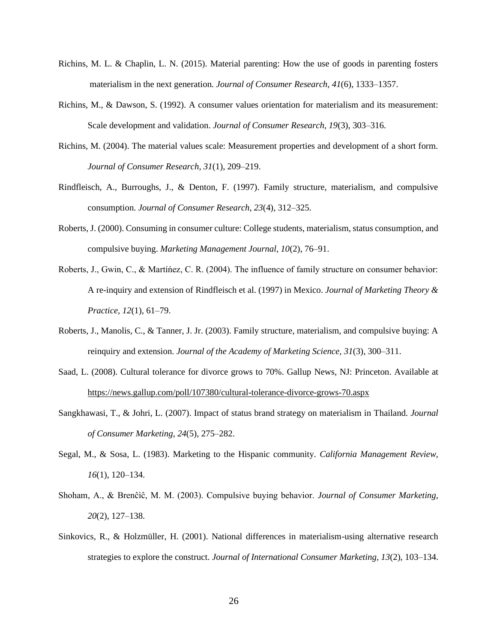- Richins, M. L. & Chaplin, L. N. (2015). Material parenting: How the use of goods in parenting fosters materialism in the next generation. *Journal of Consumer Research, 41*(6), 1333–1357.
- Richins, M., & Dawson, S. (1992). A consumer values orientation for materialism and its measurement: Scale development and validation. *Journal of Consumer Research, 19*(3), 303–316.
- Richins, M. (2004). The material values scale: Measurement properties and development of a short form. *Journal of Consumer Research, 31*(1), 209–219.
- Rindfleisch, A., Burroughs, J., & Denton, F. (1997). Family structure, materialism, and compulsive consumption. *Journal of Consumer Research, 23*(4), 312–325.
- Roberts, J. (2000). Consuming in consumer culture: College students, materialism, status consumption, and compulsive buying. *Marketing Management Journal, 10*(2), 76–91.
- Roberts, J., Gwin, C., & Martíńez, C. R. (2004). The influence of family structure on consumer behavior: A re-inquiry and extension of Rindfleisch et al. (1997) in Mexico. *Journal of Marketing Theory & Practice, 12*(1), 61–79.
- Roberts, J., Manolis, C., & Tanner, J. Jr. (2003). Family structure, materialism, and compulsive buying: A reinquiry and extension. *Journal of the Academy of Marketing Science, 31*(3), 300–311.
- Saad, L. (2008). Cultural tolerance for divorce grows to 70%. Gallup News, NJ: Princeton. Available at <https://news.gallup.com/poll/107380/cultural-tolerance-divorce-grows-70.aspx>
- Sangkhawasi, T., & Johri, L. (2007). Impact of status brand strategy on materialism in Thailand. *Journal of Consumer Marketing, 24*(5), 275–282.
- Segal, M., & Sosa, L. (1983). Marketing to the Hispanic community. *California Management Review, 16*(1), 120–134.
- Shoham, A., & Brenĉìĉ, M. M. (2003). Compulsive buying behavior. *Journal of Consumer Marketing, 20*(2), 127–138.
- Sinkovics, R., & Holzmüller, H. (2001). National differences in materialism-using alternative research strategies to explore the construct. *Journal of International Consumer Marketing, 13*(2), 103–134.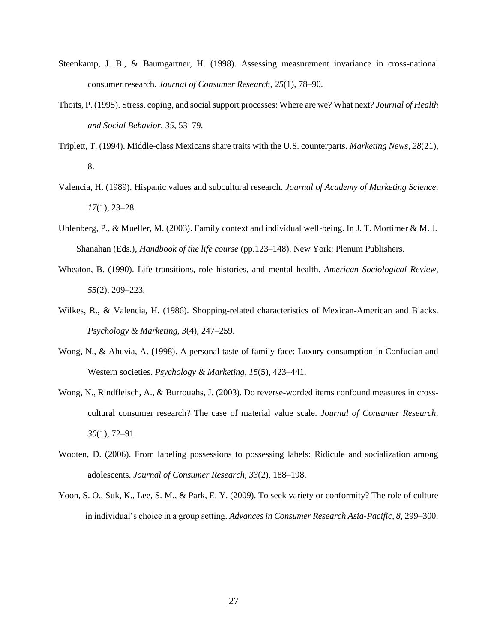- Steenkamp, J. B., & Baumgartner, H. (1998). Assessing measurement invariance in cross-national consumer research. *Journal of Consumer Research, 25*(1), 78–90.
- Thoits, P. (1995). Stress, coping, and social support processes: Where are we? What next? *Journal of Health and Social Behavior, 35*, 53–79.
- Triplett, T. (1994). Middle-class Mexicans share traits with the U.S. counterparts. *Marketing News, 28*(21), 8.
- Valencia, H. (1989). Hispanic values and subcultural research. *Journal of Academy of Marketing Science, 17*(1), 23–28.
- Uhlenberg, P., & Mueller, M. (2003). Family context and individual well-being. In J. T. Mortimer & M. J. Shanahan (Eds.), *Handbook of the life course* (pp.123–148). New York: Plenum Publishers.
- Wheaton, B. (1990). Life transitions, role histories, and mental health. *American Sociological Review, 55*(2), 209–223.
- Wilkes, R., & Valencia, H. (1986). Shopping-related characteristics of Mexican-American and Blacks. *Psychology & Marketing, 3*(4), 247–259.
- Wong, N., & Ahuvia, A. (1998). A personal taste of family face: Luxury consumption in Confucian and Western societies. *Psychology & Marketing, 15*(5), 423–441.
- Wong, N., Rindfleisch, A., & Burroughs, J. (2003). Do reverse-worded items confound measures in crosscultural consumer research? The case of material value scale. *Journal of Consumer Research, 30*(1), 72–91.
- Wooten, D. (2006). From labeling possessions to possessing labels: Ridicule and socialization among adolescents. *Journal of Consumer Research, 33*(2), 188–198.
- Yoon, S. O., Suk, K., Lee, S. M., & Park, E. Y. (2009). To seek variety or conformity? The role of culture in individual's choice in a group setting. *Advances in Consumer Research Asia-Pacific, 8*, 299–300.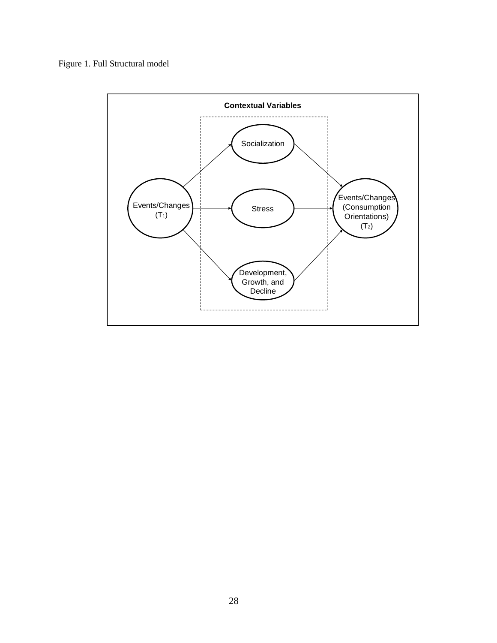Figure 1. Full Structural model

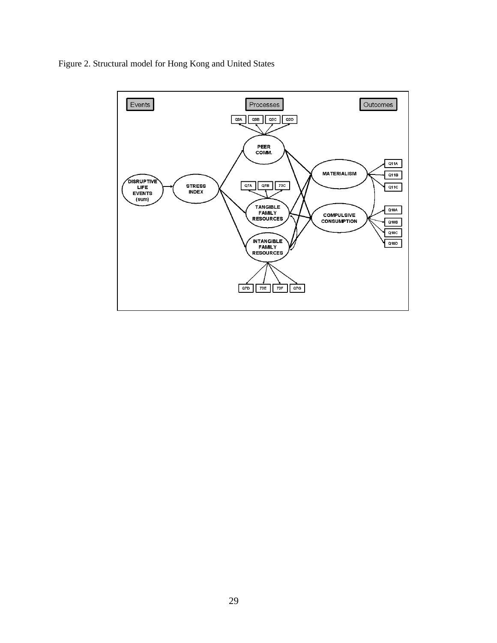

Figure 2. Structural model for Hong Kong and United States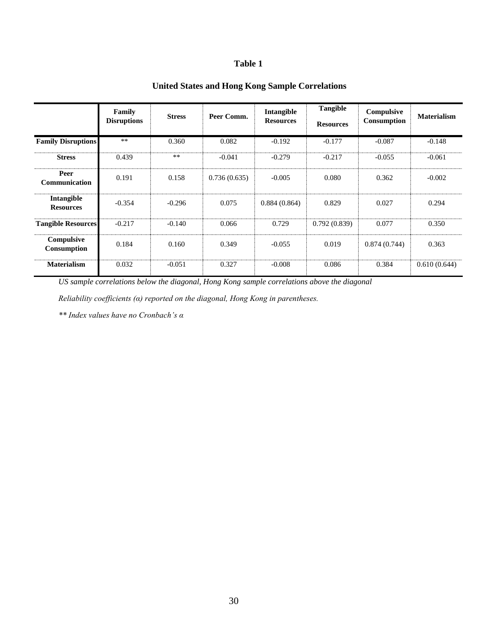# **Table 1**

# **United States and Hong Kong Sample Correlations**

|                                       | Family<br><b>Disruptions</b> | <b>Stress</b> | Peer Comm.   | Intangible<br><b>Resources</b> | <b>Tangible</b><br><b>Resources</b> | Compulsive<br>Consumption | <b>Materialism</b> |
|---------------------------------------|------------------------------|---------------|--------------|--------------------------------|-------------------------------------|---------------------------|--------------------|
| <b>Family Disruptions</b>             | $\ast\ast$                   | 0.360         | 0.082        | $-0.192$                       | $-0.177$                            | $-0.087$                  | $-0.148$           |
| <b>Stress</b>                         | 0.439                        | $***$         | $-0.041$     | $-0.279$                       | $-0.217$                            | $-0.055$                  | $-0.061$           |
| Peer<br><b>Communication</b>          | 0.191                        | 0.158         | 0.736(0.635) | $-0.005$                       | 0.080                               | 0.362                     | $-0.002$           |
| <b>Intangible</b><br><b>Resources</b> | $-0.354$                     | $-0.296$      | 0.075        | 0.884(0.864)                   | 0.829                               | 0.027                     | 0.294              |
| <b>Tangible Resources</b>             | $-0.217$                     | $-0.140$      | 0.066        | 0.729                          | 0.792(0.839)                        | 0.077                     | 0.350              |
| Compulsive<br>Consumption             | 0.184                        | 0.160         | 0.349        | $-0.055$                       | 0.019                               | 0.874(0.744)              | 0.363              |
| <b>Materialism</b>                    | 0.032                        | $-0.051$      | 0.327        | $-0.008$                       | 0.086                               | 0.384                     | 0.610(0.644)       |

*US sample correlations below the diagonal, Hong Kong sample correlations above the diagonal*

*Reliability coefficients (α) reported on the diagonal, Hong Kong in parentheses.*

*\*\* Index values have no Cronbach's α*